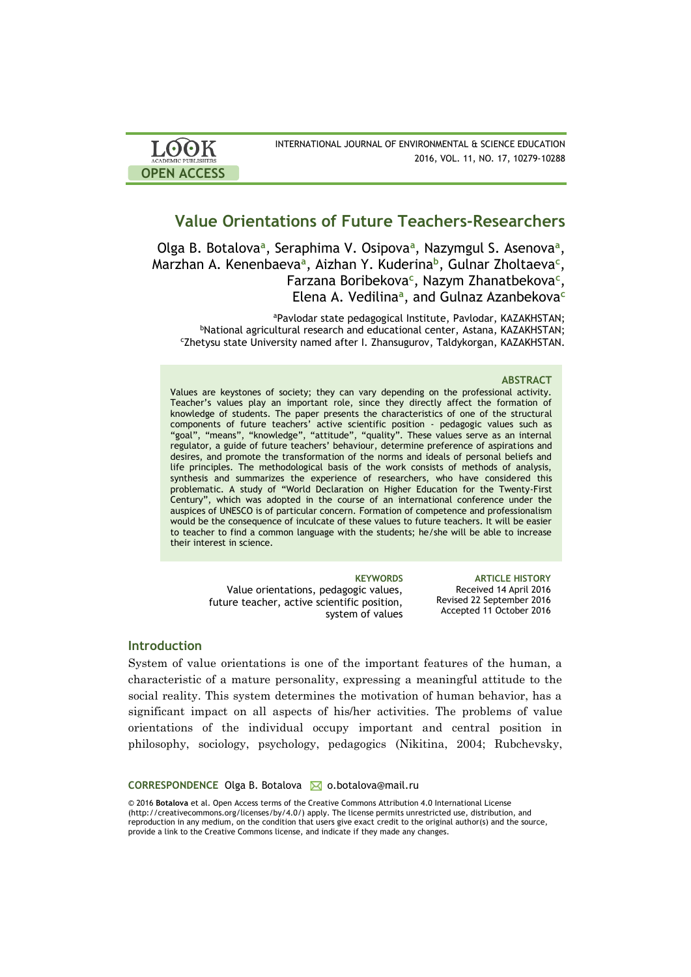| LOOK                       | INTERNATIONAL JOURNAL OF ENVIRONMENTAL & SCIENCE EDUCATION |
|----------------------------|------------------------------------------------------------|
| <b>ACADEMIC PUBLISHERS</b> | 2016, VOL. 11, NO. 17, 10279-10288                         |
| <b>OPEN ACCESS</b>         |                                                            |

# **Value Orientations of Future Teachers-Researchers**

Olga B. Botalova<sup>a</sup>, Seraphima V. Osipova<sup>a</sup>, Nazymgul S. Asenova<sup>a</sup>, Marzhan A. Kenenbaeva**<sup>a</sup>** , Aizhan Y. Kuderina**<sup>b</sup>** , Gulnar Zholtaeva**<sup>c</sup>** , Farzana Boribekova**<sup>c</sup>** , Nazym Zhanatbekova**<sup>c</sup>** , Elena A. Vedilina**<sup>a</sup>** , and Gulnaz Azanbekova**<sup>c</sup>**

<sup>a</sup>Pavlodar state pedagogical Institute, Pavlodar, [KAZAKHSTAN;](https://en.wikipedia.org/wiki/Kazakhstan) <sup>b</sup>National agricultural research and educational center, Astana, [KAZAKHSTAN;](https://en.wikipedia.org/wiki/Kazakhstan) <sup>c</sup>Zhetysu state University named after I. Zhansugurov, Taldykorgan, [KAZAKHSTAN.](https://en.wikipedia.org/wiki/Kazakhstan)

### **ABSTRACT**

Values are keystones of society; they can vary depending on the professional activity. Teacher's values play an important role, since they directly affect the formation of knowledge of students. The paper presents the characteristics of one of the structural components of future teachers' active scientific position - pedagogic values such as "goal", "means", "knowledge", "attitude", "quality". These values serve as an internal regulator, a guide of future teachers' behaviour, determine preference of aspirations and desires, and promote the transformation of the norms and ideals of personal beliefs and life principles. The methodological basis of the work consists of methods of analysis, synthesis and summarizes the experience of researchers, who have considered this problematic. A study of "World Declaration on Higher Education for the Twenty-First Century", which was adopted in the course of an international conference under the auspices of UNESCO is of particular concern. Formation of competence and professionalism would be the consequence of inculcate of these values to future teachers. It will be easier to teacher to find a common language with the students; he/she will be able to increase their interest in science.

> Value orientations, pedagogic values, future teacher, active scientific position, system of values

**KEYWORDS ARTICLE HISTORY** Received 14 April 2016 Revised 22 September 2016 Accepted 11 October 2016

# **Introduction**

System of value orientations is one of the important features of the human, a characteristic of a mature personality, expressing a meaningful attitude to the social reality. This system determines the motivation of human behavior, has a significant impact on all aspects of his/her activities. The problems of value orientations of the individual occupy important and central position in philosophy, sociology, psychology, pedagogics (Nikitina, 2004; Rubchevsky,

### **CORRESPONDENCE** Olga B. Botalova M o.botalova@mail.ru

© 2016 **Botalova** et al. Open Access terms of the Creative Commons Attribution 4.0 International License (http://creativecommons.org/licenses/by/4.0/) apply. The license permits unrestricted use, distribution, and reproduction in any medium, on the condition that users give exact credit to the original author(s) and the source, provide a link to the Creative Commons license, and indicate if they made any changes.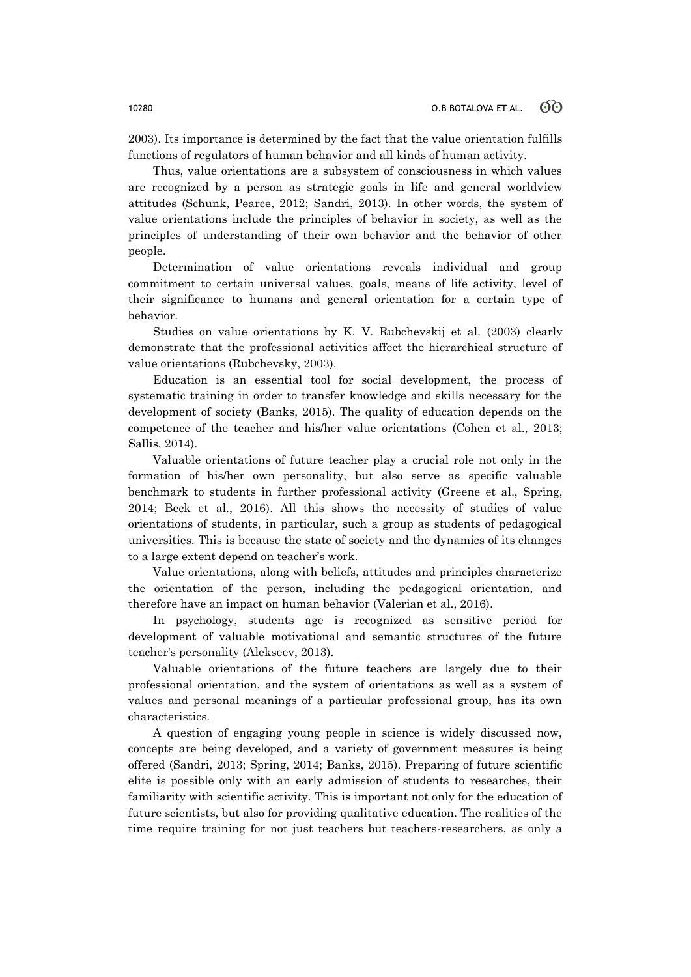2003). Its importance is determined by the fact that the value orientation fulfills functions of regulators of human behavior and all kinds of human activity.

Thus, value orientations are a subsystem of consciousness in which values are recognized by a person as strategic goals in life and general worldview attitudes (Schunk, Pearce, 2012; Sandri, 2013). In other words, the system of value orientations include the principles of behavior in society, as well as the principles of understanding of their own behavior and the behavior of other people.

Determination of value orientations reveals individual and group commitment to certain universal values, goals, means of life activity, level of their significance to humans and general orientation for a certain type of behavior.

Studies on value orientations by K. V. Rubchevskij et al. (2003) clearly demonstrate that the professional activities affect the hierarchical structure of value orientations (Rubchevsky, 2003).

Education is an essential tool for social development, the process of systematic training in order to transfer knowledge and skills necessary for the development of society (Banks, 2015). The quality of education depends on the competence of the teacher and his/her value orientations (Cohen et al., 2013; Sallis, 2014).

Valuable orientations of future teacher play a crucial role not only in the formation of his/her own personality, but also serve as specific valuable benchmark to students in further professional activity (Greene et al., Spring, 2014; Beck et al., 2016). All this shows the necessity of studies of value orientations of students, in particular, such a group as students of pedagogical universities. This is because the state of society and the dynamics of its changes to a large extent depend on teacher's work.

Value orientations, along with beliefs, attitudes and principles characterize the orientation of the person, including the pedagogical orientation, and therefore have an impact on human behavior (Valerian et al., 2016).

In psychology, students age is recognized as sensitive period for development of valuable motivational and semantic structures of the future teacher's personality (Alekseev, 2013).

Valuable orientations of the future teachers are largely due to their professional orientation, and the system of orientations as well as a system of values and personal meanings of a particular professional group, has its own characteristics.

A question of engaging young people in science is widely discussed now, concepts are being developed, and a variety of government measures is being offered (Sandri, 2013; Spring, 2014; Banks, 2015). Preparing of future scientific elite is possible only with an early admission of students to researches, their familiarity with scientific activity. This is important not only for the education of future scientists, but also for providing qualitative education. The realities of the time require training for not just teachers but teachers-researchers, as only a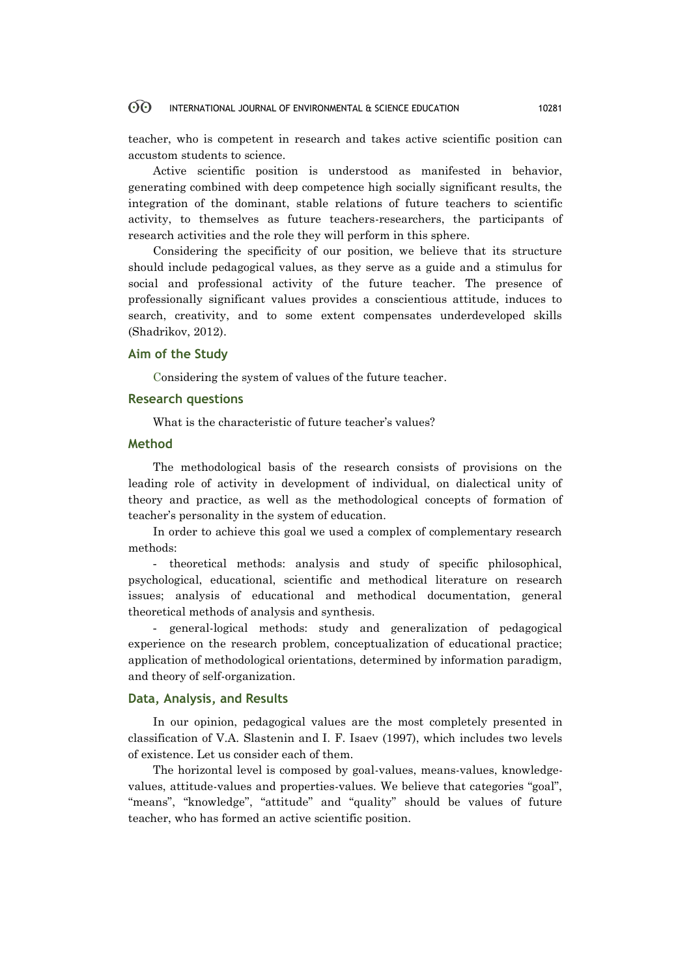#### 60 INTERNATIONAL JOURNAL OF ENVIRONMENTAL & SCIENCE EDUCATION 10281

teacher, who is competent in research and takes active scientific position can accustom students to science.

Active scientific position is understood as manifested in behavior, generating combined with deep competence high socially significant results, the integration of the dominant, stable relations of future teachers to scientific activity, to themselves as future teachers-researchers, the participants of research activities and the role they will perform in this sphere.

Considering the specificity of our position, we believe that its structure should include pedagogical values, as they serve as a guide and a stimulus for social and professional activity of the future teacher. The presence of professionally significant values provides a conscientious attitude, induces to search, creativity, and to some extent compensates underdeveloped skills (Shadrikov, 2012).

# **Aim of the Study**

Considering the system of values of the future teacher.

### **Research questions**

What is the characteristic of future teacher's values?

# **Method**

The methodological basis of the research consists of provisions on the leading role of activity in development of individual, on dialectical unity of theory and practice, as well as the methodological concepts of formation of teacher's personality in the system of education.

In order to achieve this goal we used a complex of complementary research methods:

- theoretical methods: analysis and study of specific philosophical, psychological, educational, scientific and methodical literature on research issues; analysis of educational and methodical documentation, general theoretical methods of analysis and synthesis.

- general-logical methods: study and generalization of pedagogical experience on the research problem, conceptualization of educational practice; application of methodological orientations, determined by information paradigm, and theory of self-organization.

### **Data, Analysis, and Results**

In our opinion, pedagogical values are the most completely presented in classification of V.A. Slastenin and I. F. Isaev (1997), which includes two levels of existence. Let us consider each of them.

The horizontal level is composed by goal-values, means-values, knowledgevalues, attitude-values and properties-values. We believe that categories "goal", "means", "knowledge", "attitude" and "quality" should be values of future teacher, who has formed an active scientific position.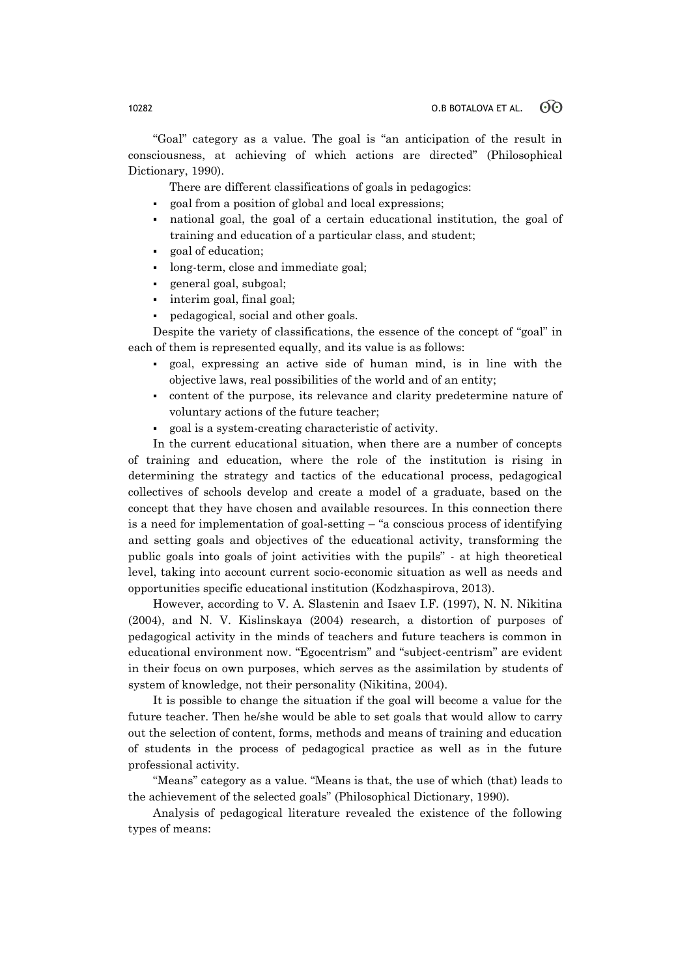"Goal" category as a value. The goal is "an anticipation of the result in consciousness, at achieving of which actions are directed" (Philosophical Dictionary, 1990).

There are different classifications of goals in pedagogics:

- goal from a position of global and local expressions;
- national goal, the goal of a certain educational institution, the goal of training and education of a particular class, and student;
- goal of education;
- long-term, close and immediate goal;
- general goal, subgoal;
- interim goal, final goal;
- pedagogical, social and other goals.

Despite the variety of classifications, the essence of the concept of "goal" in each of them is represented equally, and its value is as follows:

- goal, expressing an active side of human mind, is in line with the objective laws, real possibilities of the world and of an entity;
- content of the purpose, its relevance and clarity predetermine nature of voluntary actions of the future teacher;
- goal is a system-creating characteristic of activity.

In the current educational situation, when there are a number of concepts of training and education, where the role of the institution is rising in determining the strategy and tactics of the educational process, pedagogical collectives of schools develop and create a model of a graduate, based on the concept that they have chosen and available resources. In this connection there is a need for implementation of goal-setting – "a conscious process of identifying and setting goals and objectives of the educational activity, transforming the public goals into goals of joint activities with the pupils" - at high theoretical level, taking into account current socio-economic situation as well as needs and opportunities specific educational institution (Kodzhaspirova, 2013).

However, according to V. A. Slastenin and Isaev I.F. (1997), N. N. Nikitina (2004), and N. V. Kislinskaya (2004) research, a distortion of purposes of pedagogical activity in the minds of teachers and future teachers is common in educational environment now. "Egocentrism" and "subject-centrism" are evident in their focus on own purposes, which serves as the assimilation by students of system of knowledge, not their personality (Nikitina, 2004).

It is possible to change the situation if the goal will become a value for the future teacher. Then he/she would be able to set goals that would allow to carry out the selection of content, forms, methods and means of training and education of students in the process of pedagogical practice as well as in the future professional activity.

"Means" category as a value. "Means is that, the use of which (that) leads to the achievement of the selected goals" (Philosophical Dictionary, 1990).

Analysis of pedagogical literature revealed the existence of the following types of means: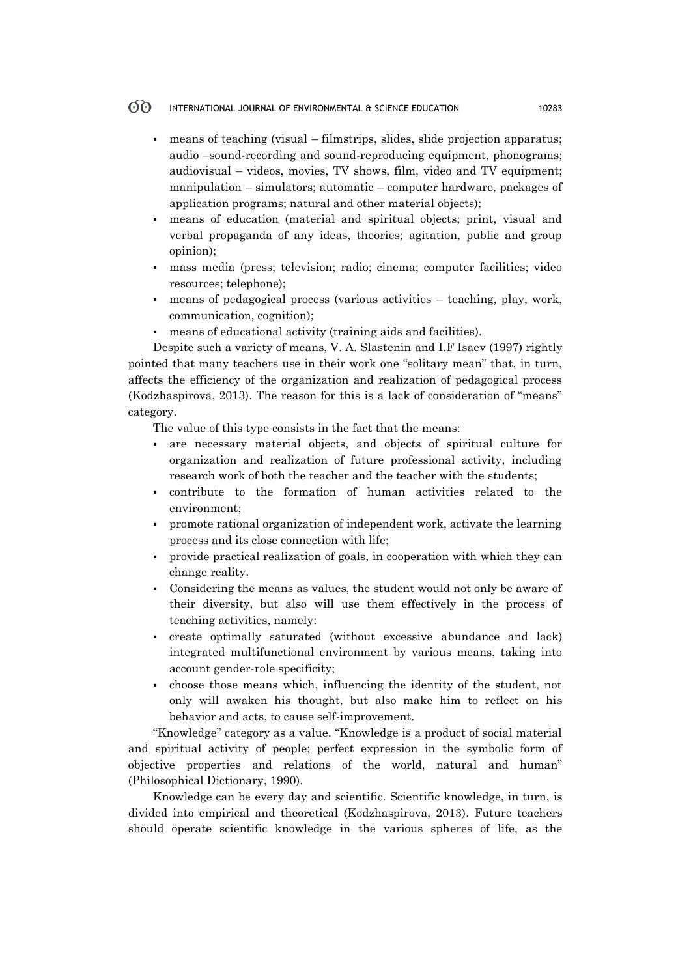#### $\odot$ INTERNATIONAL JOURNAL OF ENVIRONMENTAL & SCIENCE EDUCATION 10283

- means of teaching (visual filmstrips, slides, slide projection apparatus; audio –sound-recording and sound-reproducing equipment, phonograms; audiovisual – videos, movies, TV shows, film, video and TV equipment; manipulation – simulators; automatic – computer hardware, packages of application programs; natural and other material objects);
- means of education (material and spiritual objects; print, visual and verbal propaganda of any ideas, theories; agitation, public and group opinion);
- mass media (press; television; radio; cinema; computer facilities; video resources; telephone);
- means of pedagogical process (various activities teaching, play, work, communication, cognition);
- means of educational activity (training aids and facilities).

Despite such a variety of means, V. A. Slastenin and I.F Isaev (1997) rightly pointed that many teachers use in their work one "solitary mean" that, in turn, affects the efficiency of the organization and realization of pedagogical process (Kodzhaspirova, 2013). The reason for this is a lack of consideration of "means" category.

The value of this type consists in the fact that the means:

- are necessary material objects, and objects of spiritual culture for organization and realization of future professional activity, including research work of both the teacher and the teacher with the students;
- contribute to the formation of human activities related to the environment;
- promote rational organization of independent work, activate the learning process and its close connection with life;
- provide practical realization of goals, in cooperation with which they can change reality.
- Considering the means as values, the student would not only be aware of their diversity, but also will use them effectively in the process of teaching activities, namely:
- create optimally saturated (without excessive abundance and lack) integrated multifunctional environment by various means, taking into account gender-role specificity;
- choose those means which, influencing the identity of the student, not only will awaken his thought, but also make him to reflect on his behavior and acts, to cause self-improvement.

"Knowledge" category as a value. "Knowledge is a product of social material and spiritual activity of people; perfect expression in the symbolic form of objective properties and relations of the world, natural and human" (Philosophical Dictionary, 1990).

Knowledge can be every day and scientific. Scientific knowledge, in turn, is divided into empirical and theoretical (Kodzhaspirova, 2013). Future teachers should operate scientific knowledge in the various spheres of life, as the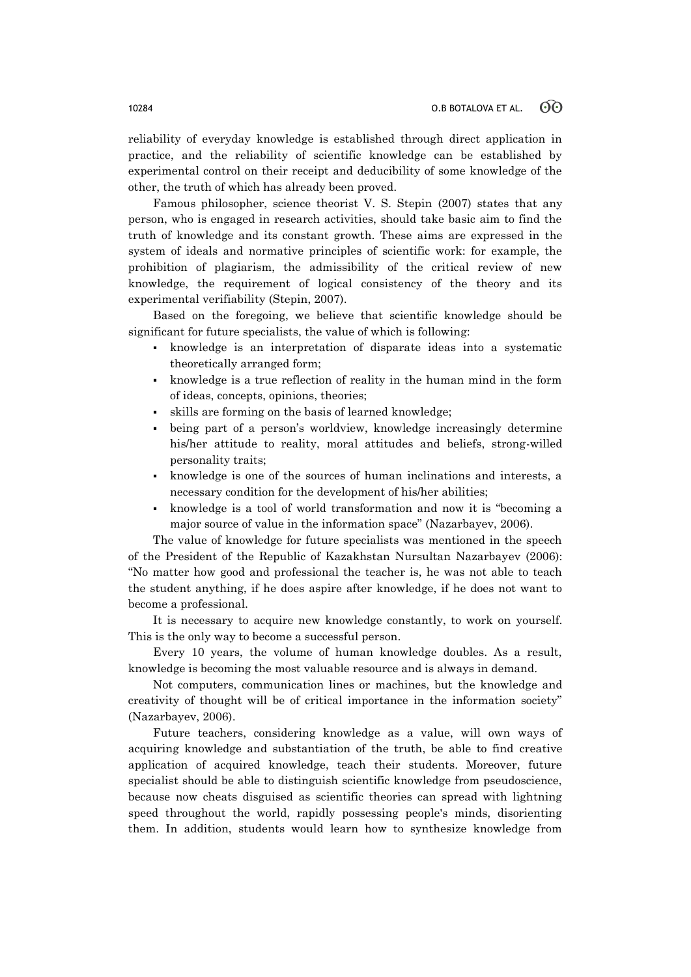reliability of everyday knowledge is established through direct application in practice, and the reliability of scientific knowledge can be established by experimental control on their receipt and deducibility of some knowledge of the other, the truth of which has already been proved.

Famous philosopher, science theorist V. S. Stepin (2007) states that any person, who is engaged in research activities, should take basic aim to find the truth of knowledge and its constant growth. These aims are expressed in the system of ideals and normative principles of scientific work: for example, the prohibition of plagiarism, the admissibility of the critical review of new knowledge, the requirement of logical consistency of the theory and its experimental verifiability (Stepin, 2007).

Based on the foregoing, we believe that scientific knowledge should be significant for future specialists, the value of which is following:

- knowledge is an interpretation of disparate ideas into a systematic theoretically arranged form;
- knowledge is a true reflection of reality in the human mind in the form of ideas, concepts, opinions, theories;
- skills are forming on the basis of learned knowledge;
- being part of a person's worldview, knowledge increasingly determine his/her attitude to reality, moral attitudes and beliefs, strong-willed personality traits;
- knowledge is one of the sources of human inclinations and interests, a necessary condition for the development of his/her abilities;
- knowledge is a tool of world transformation and now it is "becoming a major source of value in the information space" (Nazarbayev, 2006).

The value of knowledge for future specialists was mentioned in the speech of the President of the Republic of Kazakhstan Nursultan Nazarbayev (2006): "No matter how good and professional the teacher is, he was not able to teach the student anything, if he does aspire after knowledge, if he does not want to become a professional.

It is necessary to acquire new knowledge constantly, to work on yourself. This is the only way to become a successful person.

Every 10 years, the volume of human knowledge doubles. As a result, knowledge is becoming the most valuable resource and is always in demand.

Not computers, communication lines or machines, but the knowledge and creativity of thought will be of critical importance in the information society" (Nazarbayev, 2006).

Future teachers, considering knowledge as a value, will own ways of acquiring knowledge and substantiation of the truth, be able to find creative application of acquired knowledge, teach their students. Moreover, future specialist should be able to distinguish scientific knowledge from pseudoscience, because now cheats disguised as scientific theories can spread with lightning speed throughout the world, rapidly possessing people's minds, disorienting them. In addition, students would learn how to synthesize knowledge from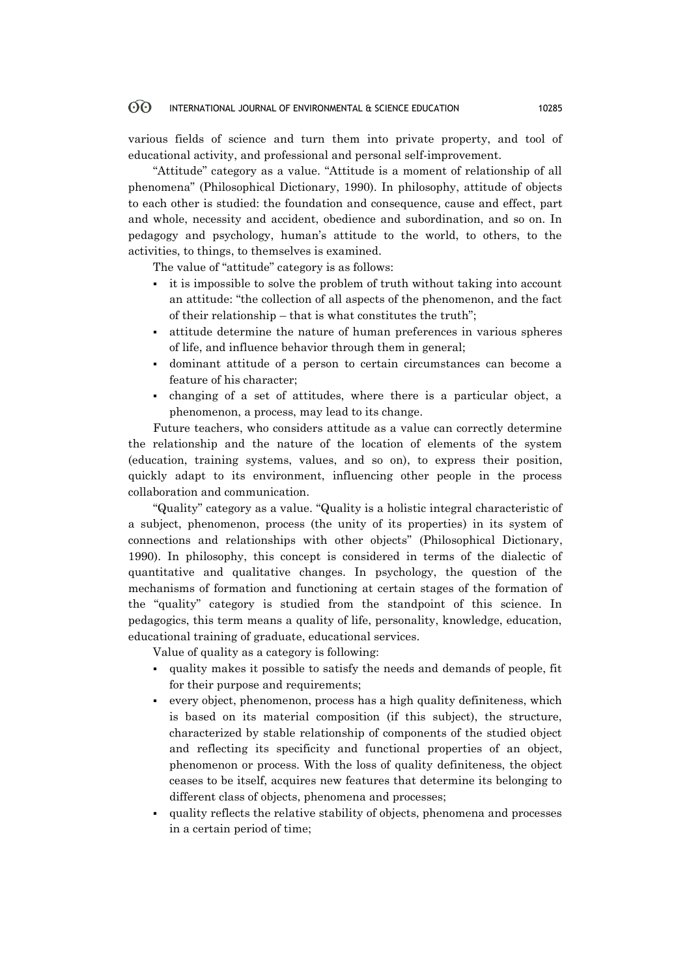#### 60 INTERNATIONAL JOURNAL OF ENVIRONMENTAL & SCIENCE EDUCATION 10285

various fields of science and turn them into private property, and tool of educational activity, and professional and personal self-improvement.

"Attitude" category as a value. "Attitude is a moment of relationship of all phenomena" (Philosophical Dictionary, 1990). In philosophy, attitude of objects to each other is studied: the foundation and consequence, cause and effect, part and whole, necessity and accident, obedience and subordination, and so on. In pedagogy and psychology, human's attitude to the world, to others, to the activities, to things, to themselves is examined.

The value of "attitude" category is as follows:

- it is impossible to solve the problem of truth without taking into account an attitude: "the collection of all aspects of the phenomenon, and the fact of their relationship – that is what constitutes the truth";
- attitude determine the nature of human preferences in various spheres of life, and influence behavior through them in general;
- dominant attitude of a person to certain circumstances can become a feature of his character;
- changing of a set of attitudes, where there is a particular object, a phenomenon, a process, may lead to its change.

Future teachers, who considers attitude as a value can correctly determine the relationship and the nature of the location of elements of the system (education, training systems, values, and so on), to express their position, quickly adapt to its environment, influencing other people in the process collaboration and communication.

"Quality" category as a value. "Quality is a holistic integral characteristic of a subject, phenomenon, process (the unity of its properties) in its system of connections and relationships with other objects" (Philosophical Dictionary, 1990). In philosophy, this concept is considered in terms of the dialectic of quantitative and qualitative changes. In psychology, the question of the mechanisms of formation and functioning at certain stages of the formation of the "quality" category is studied from the standpoint of this science. In pedagogics, this term means a quality of life, personality, knowledge, education, educational training of graduate, educational services.

Value of quality as a category is following:

- quality makes it possible to satisfy the needs and demands of people, fit for their purpose and requirements;
- every object, phenomenon, process has a high quality definiteness, which is based on its material composition (if this subject), the structure, characterized by stable relationship of components of the studied object and reflecting its specificity and functional properties of an object, phenomenon or process. With the loss of quality definiteness, the object ceases to be itself, acquires new features that determine its belonging to different class of objects, phenomena and processes;
- quality reflects the relative stability of objects, phenomena and processes in a certain period of time;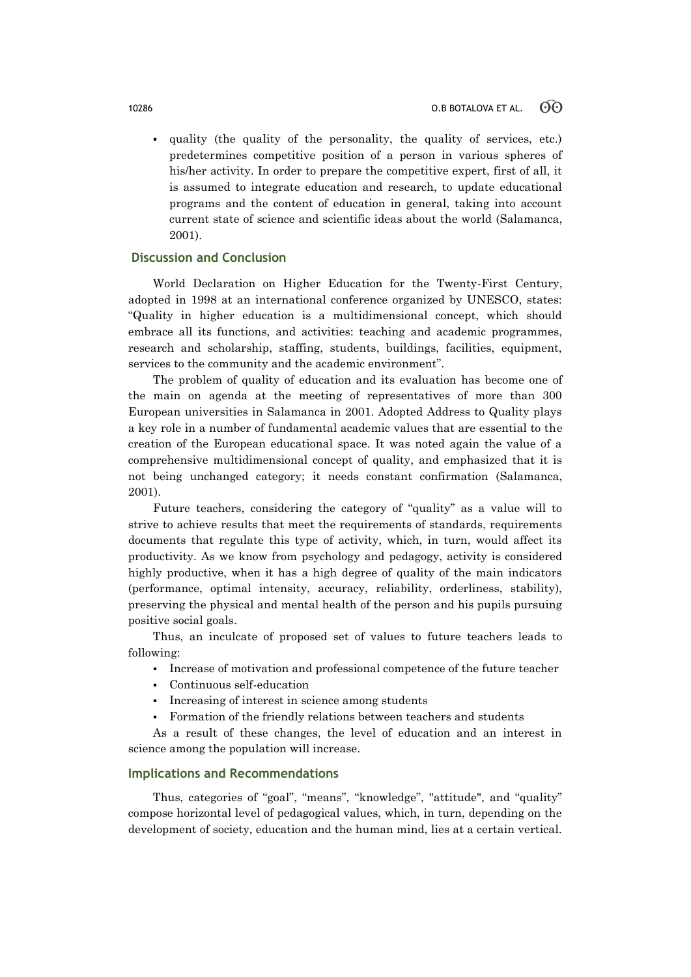quality (the quality of the personality, the quality of services, etc.) predetermines competitive position of a person in various spheres of his/her activity. In order to prepare the competitive expert, first of all, it is assumed to integrate education and research, to update educational programs and the content of education in general, taking into account current state of science and scientific ideas about the world (Salamanca, 2001).

# **Discussion and Conclusion**

World Declaration on Higher Education for the Twenty-First Century, adopted in 1998 at an international conference organized by UNESCO, states: "Quality in higher education is a multidimensional concept, which should embrace all its functions, and activities: teaching and academic programmes, research and scholarship, staffing, students, buildings, facilities, equipment, services to the community and the academic environment".

The problem of quality of education and its evaluation has become one of the main on agenda at the meeting of representatives of more than 300 European universities in Salamanca in 2001. Adopted Address to Quality plays a key role in a number of fundamental academic values that are essential to the creation of the European educational space. It was noted again the value of a comprehensive multidimensional concept of quality, and emphasized that it is not being unchanged category; it needs constant confirmation (Salamanca, 2001).

Future teachers, considering the category of "quality" as a value will to strive to achieve results that meet the requirements of standards, requirements documents that regulate this type of activity, which, in turn, would affect its productivity. As we know from psychology and pedagogy, activity is considered highly productive, when it has a high degree of quality of the main indicators (performance, optimal intensity, accuracy, reliability, orderliness, stability), preserving the physical and mental health of the person and his pupils pursuing positive social goals.

Thus, an inculcate of proposed set of values to future teachers leads to following:

- Increase of motivation and professional competence of the future teacher
- Continuous self-education
- Increasing of interest in science among students
- Formation of the friendly relations between teachers and students

As a result of these changes, the level of education and an interest in science among the population will increase.

# **Implications and Recommendations**

Thus, categories of "goal", "means", "knowledge", "attitude", and "quality" compose horizontal level of pedagogical values, which, in turn, depending on the development of society, education and the human mind, lies at a certain vertical.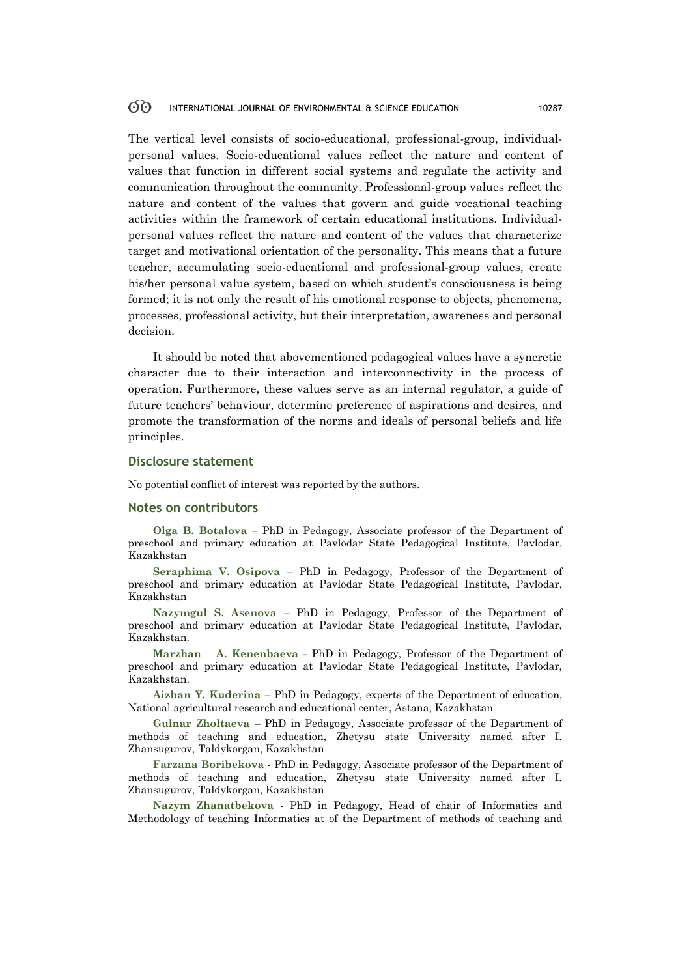#### 60 INTERNATIONAL JOURNAL OF ENVIRONMENTAL & SCIENCE EDUCATION 10287

The vertical level consists of socio-educational, professional-group, individualpersonal values. Socio-educational values reflect the nature and content of values that function in different social systems and regulate the activity and communication throughout the community. Professional-group values reflect the nature and content of the values that govern and guide vocational teaching activities within the framework of certain educational institutions. Individualpersonal values reflect the nature and content of the values that characterize target and motivational orientation of the personality. This means that a future teacher, accumulating socio-educational and professional-group values, create his/her personal value system, based on which student's consciousness is being formed; it is not only the result of his emotional response to objects, phenomena, processes, professional activity, but their interpretation, awareness and personal decision.

It should be noted that abovementioned pedagogical values have a syncretic character due to their interaction and interconnectivity in the process of operation. Furthermore, these values serve as an internal regulator, a guide of future teachers' behaviour, determine preference of aspirations and desires, and promote the transformation of the norms and ideals of personal beliefs and life principles.

# **Disclosure statement**

No potential conflict of interest was reported by the authors.

### **Notes on contributors**

**Olga B. Botalova –** PhD in Pedagogy, Associate professor of the Department of preschool and primary education at Pavlodar State Pedagogical Institute, Pavlodar, Kazakhstan

**Seraphima V. Osipova** – PhD in Pedagogy, Professor of the Department of preschool and primary education at Pavlodar State Pedagogical Institute, Pavlodar, Kazakhstan

**Nazymgul S. Asenova** – PhD in Pedagogy, Professor of the Department of preschool and primary education at Pavlodar State Pedagogical Institute, Pavlodar, Kazakhstan.

**Marzhan A. Kenenbaeva -** PhD in Pedagogy, Professor of the Department of preschool and primary education at Pavlodar State Pedagogical Institute, Pavlodar, Kazakhstan.

**Aizhan Y. Kuderina** – PhD in Pedagogy, experts of the Department of education, National agricultural research and educational center, Astana, Kazakhstan

**Gulnar Zholtaeva** – PhD in Pedagogy, Associate professor of the Department of methods of teaching and education, Zhetysu state University named after I. Zhansugurov, Taldykorgan, Kazakhstan

**Farzana Boribekova** - PhD in Pedagogy, Associate professor of the Department of methods of teaching and education, Zhetysu state University named after I. Zhansugurov, Taldykorgan, Kazakhstan

**Nazym Zhanatbekova** - PhD in Pedagogy, Head of chair of Informatics and Methodology of teaching Informatics at of the Department of methods of teaching and